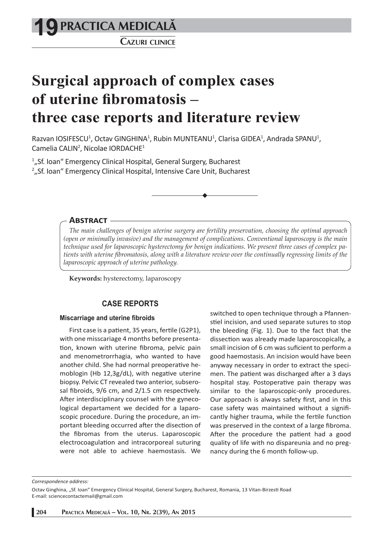**PRACTICA MEDICALÅ 19**

**CAZURI CLINICE**

# **Surgical approach of complex cases of uterine fibromatosis – three case reports and literature review**

Razvan IOSIFESCU<sup>1</sup>, Octav GINGHINA<sup>1</sup>, Rubin MUNTEANU<sup>1</sup>, Clarisa GIDEA<sup>1</sup>, Andrada SPANU<sup>1</sup>, Camelia CALIN<sup>2</sup>, Nicolae IORDACHE<sup>1</sup>

<sup>1</sup>"Sf. Ioan" Emergency Clinical Hospital, General Surgery, Bucharest <sup>2</sup>"Sf. Ioan" Emergency Clinical Hospital, Intensive Care Unit, Bucharest

**ABSTRACT**

*The main challenges of benign uterine surgery are fertility preservation, choosing the optimal approach (open or minimally invasive) and the management of complications. Conventional laparoscopy is the main technique used for laparoscopic hysterectomy for benign indications. We present three cases of complex patients with uterine fi bromatosis, along with a literature review over the continually regressing limits of the laparoscopic approach of uterine pathology.*

**Keywords:** hysterectomy, laparoscopy

# **CASE REPORTS**

#### **Miscarriage and uterine fibroids**

First case is a patient, 35 years, fertile (G2P1), with one misscariage 4 months before presentation, known with uterine fibroma, pelvic pain and menometrorrhagia, who wanted to have another child. She had normal preoperative hemoblogin (Hb  $12,3g/dL$ ), with negative uterine biopsy. Pelvic CT revealed two anterior, subserosal fibroids,  $9/6$  cm, and  $2/1.5$  cm respectively. After interdisciplinary counsel with the gynecological departament we decided for a laparoscopic procedure. During the procedure, an important bleeding occurred after the disection of the fibromas from the uterus. Laparoscopic electrocoagulation and intracorporeal suturing were not able to achieve haemostasis. We

switched to open technique through a Pfannenstiel incision, and used separate sutures to stop the bleeding (Fig. 1). Due to the fact that the dissection was already made laparoscopically, a small incision of 6 cm was suficient to perform a good haemostasis. An incision would have been anyway necessary in order to extract the specimen. The patient was discharged after a 3 days hospital stay. Postoperative pain therapy was similar to the laparoscopic-only procedures. Our approach is always safety first, and in this case safety was maintained without a significantly higher trauma, while the fertile function was preserved in the context of a large fibroma. After the procedure the patient had a good quality of life with no dispareunia and no pregnancy during the 6 month follow-up.

*Correspondence address:* 

**204 PRACTICA MEDICALÅ – VOL. 10, NR. 2(39), AN 2015**

Octav Ginghina, "Sf. Ioan" Emergency Clinical Hospital, General Surgery, Bucharest, Romania, 13 Vitan-Birzesti Road E-mail: sciencecontactemail@gmail.com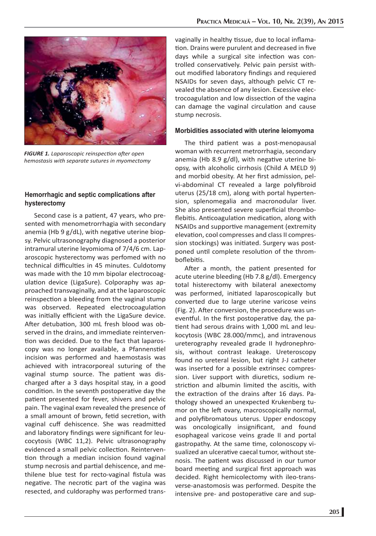

*FIGURE 1. Laparoscopic reinspection after open hemostasis with separate sutures in myomectomy*

# **Hemorrhagic and septic complications after hysterectomy**

Second case is a patient, 47 years, who presented with menometrorrhagia with secondary anemia (Hb  $9 g/dL$ ), with negative uterine biopsy. Pelvic ultrasonography diagnosed a posterior intramural uterine leyomioma of 7/4/6 cm. Laparoscopic hysterectomy was perfomed with no technical difficulties in 45 minutes. Culdotomy was made with the 10 mm bipolar electrocoagulation device (LigaSure). Colporaphy was approached transvaginally, and at the laparoscopic reinspection a bleeding from the vaginal stump was observed. Repeated electrocoagulation was initially efficient with the LigaSure device. After detubation, 300 mL fresh blood was observed in the drains, and immediate reintervention was decided. Due to the fact that laparoscopy was no longer available, a Pfannenstiel incision was performed and haemostasis was achieved with intracorporeal suturing of the vaginal stump source. The patient was discharged after a 3 days hospital stay, in a good condition. In the seventh postoperative day the patient presented for fever, shivers and pelvic pain. The vaginal exam revealed the presence of a small amount of brown, fetid secretion, with vaginal cuff dehiscence. She was readmitted and laboratory findings were significant for leucocytosis (WBC 11,2). Pelvic ultrasonography evidenced a small pelvic collection. Reintervention through a median incision found vaginal stump necrosis and partial dehiscence, and methilene blue test for recto-vaginal fistula was negative. The necrotic part of the vagina was resected, and culdoraphy was performed trans-

vaginally in healthy tissue, due to local inflamation. Drains were purulent and decreased in five days while a surgical site infection was controlled conservatively. Pelvic pain persist without modified laboratory findings and requiered NSAIDs for seven days, although pelvic CT revealed the absence of any lesion. Excessive electrocoagulation and low dissection of the vagina can damage the vaginal circulation and cause stump necrosis.

# **Morbidities associated with uterine leiomyoma**

The third patient was a post-menopausal woman with recurrent metrorrhagia, secondary anemia (Hb 8.9  $g/dl$ ), with negative uterine biopsy, with alcoholic cirrhosis (Child A MELD 9) and morbid obesity. At her first admission, pelvi-abdominal CT revealed a large polyfibroid uterus (25/18 cm), along with portal hypertension, splenomegalia and macronodular liver. She also presented severe superficial thromboflebitis. Anticoagulation medication, along with NSAIDs and supportive management (extremity elevation, cool compresses and class II compression stockings) was initiated. Surgery was postponed until complete resolution of the thromboflebitis.

After a month, the patient presented for acute uterine bleeding (Hb 7.8 g/dl). Emergency total histerectomy with bilateral anexectomy was performed, initiated laparoscopically but converted due to large uterine varicose veins (Fig. 2). After conversion, the procedure was uneventful. In the first postoperative day, the patient had serous drains with 1,000 mL and leukocytosis (WBC 28.000/mmc), and intravenous ureterography revealed grade II hydronephrosis, without contrast leakage. Ureteroscopy found no ureteral lesion, but right J-J catheter was inserted for a possible extrinsec compression. Liver support with diuretics, sodium restriction and albumin limited the ascitis, with the extraction of the drains after 16 days. Pathology showed an unexpected Krukenberg tumor on the left ovary, macroscopically normal, and polyfibromatous uterus. Upper endoscopy was oncologically insignificant, and found esophageal varicose veins grade II and portal gastropathy. At the same time, colonoscopy visualized an ulcerative caecal tumor, without stenosis. The patient was discussed in our tumor board meeting and surgical first approach was decided. Right hemicolectomy with ileo-transverse-anastomosis was performed. Despite the intensive pre- and postoperative care and sup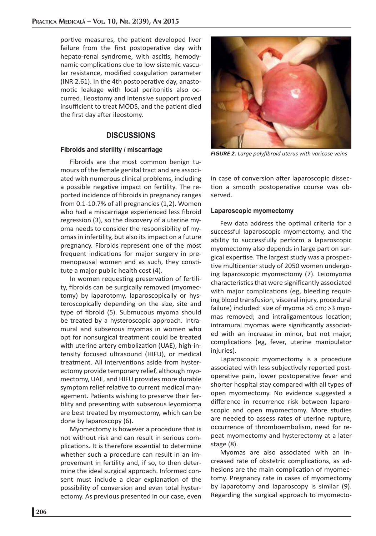portive measures, the patient developed liver failure from the first postoperative day with hepato-renal syndrome, with ascitis, hemodynamic complications due to low sistemic vascular resistance, modified coagulation parameter (INR 2.61). In the 4th postoperative day, anastomotic leakage with local peritonitis also occurred. Ileostomy and intensive support proved insufficient to treat MODS, and the patient died the first day after ileostomy.

# **DISCUSSIONS**

#### **Fibroids and sterility / miscarriage**

Fibroids are the most common benign tumours of the female genital tract and are associated with numerous clinical problems, including a possible negative impact on fertility. The reported incidence of fibroids in pregnancy ranges from 0.1-10.7% of all pregnancies (1,2). Women who had a miscarriage experienced less fibroid regression (3), so the discovery of a uterine myoma needs to consider the responsibility of myomas in infertility, but also its impact on a future pregnancy. Fibroids represent one of the most frequent indications for major surgery in premenopausal women and as such, they constitute a major public health cost (4).

In women requesting preservation of fertility, fibroids can be surgically removed (myomectomy) by laparotomy, laparoscopically or hysteroscopically depending on the size, site and type of fibroid (5). Submucous myoma should be treated by a hysteroscopic approach. Intramural and subserous myomas in women who opt for nonsurgical treatment could be treated with uterine artery embolization (UAE), high-intensity focused ultrasound (HIFU), or medical treatment. All interventions aside from hysterectomy provide temporary relief, although myomectomy, UAE, and HIFU provides more durable symptom relief relative to current medical management. Patients wishing to preserve their fertility and presenting with subserous leyomioma are best treated by myomectomy, which can be done by laparoscopy (6).

Myomectomy is however a procedure that is not without risk and can result in serious complications. It is therefore essential to determine whether such a procedure can result in an improvement in fertility and, if so, to then determine the ideal surgical approach. Informed consent must include a clear explanation of the possibility of conversion and even total hysterectomy. As previous presented in our case, even



**FIGURE 2.** Large polyfibroid uterus with varicose veins

in case of conversion after laparoscopic dissection a smooth postoperative course was observed.

### **Laparoscopic myomectomy**

Few data address the optimal criteria for a successful laparoscopic myomectomy, and the ability to successfully perform a laparoscopic myomectomy also depends in large part on surgical expertise. The largest study was a prospective multicenter study of 2050 women undergoing laparoscopic myomectomy (7). Leiomyoma characteristics that were significantly associated with major complications (eg, bleeding requiring blood transfusion, visceral injury, procedural failure) included: size of myoma >5 cm; >3 myomas removed; and intraligamentous location; intramural myomas were significantly associated with an increase in minor, but not major, complications (eg, fever, uterine manipulator injuries).

Laparoscopic myomectomy is a procedure associated with less subjectively reported postoperative pain, lower postoperative fever and shorter hospital stay compared with all types of open myomectomy. No evidence suggested a difference in recurrence risk between laparoscopic and open myomectomy. More studies are needed to assess rates of uterine rupture, occurrence of thromboembolism, need for repeat myomectomy and hysterectomy at a later stage (8).

Myomas are also associated with an increased rate of obstetric complications, as adhesions are the main complication of myomectomy. Pregnancy rate in cases of myomectomy by laparotomy and laparoscopy is similar (9). Regarding the surgical approach to myomecto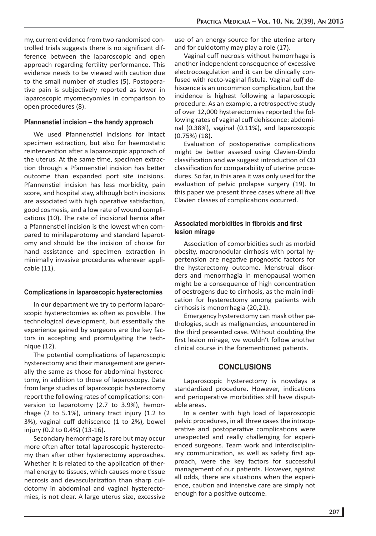my, current evidence from two randomised controlled trials suggests there is no significant difference between the laparoscopic and open approach regarding fertility performance. This evidence needs to be viewed with caution due to the small number of studies (5). Postoperative pain is subjectively reported as lower in laparoscopic myomecyomies in comparison to open procedures (8).

#### **Pfannenstiel incision – the handy approach**

We used Pfannenstiel incisions for intact specimen extraction, but also for haemostatic reintervention after a laparoscopic approach of the uterus. At the same time, specimen extraction through a Pfannenstiel incision has better outcome than expanded port site incisions. Pfannenstiel incision has less morbidity, pain score, and hospital stay, although both incisions are associated with high operative satisfaction, good cosmesis, and a low rate of wound complications (10). The rate of incisional hernia after a Pfannenstiel incision is the lowest when compared to minilaparotomy and standard laparotomy and should be the incision of choice for hand assistance and specimen extraction in minimally invasive procedures wherever applicable (11).

#### **Complications in laparoscopic hysterectomies**

In our department we try to perform laparoscopic hysterectomies as often as possible. The technological development, but essentially the experience gained by surgeons are the key factors in accepting and promulgating the technique (12).

The potential complications of laparoscopic hysterectomy and their management are generally the same as those for abdominal hysterectomy, in addition to those of laparoscopy. Data from large studies of laparoscopic hysterectomy report the following rates of complications: conversion to laparotomy (2.7 to 3.9%), hemorrhage (2 to 5.1%), urinary tract injury (1.2 to 3%), vaginal cuff dehiscence (1 to 2%), bowel injury (0.2 to 0.4%) (13-16).

Secondary hemorrhage is rare but may occur more often after total laparoscopic hysterectomy than after other hysterectomy approaches. Whether it is related to the application of thermal energy to tissues, which causes more tissue necrosis and devascularization than sharp culdotomy in abdominal and vaginal hysterectomies, is not clear. A large uterus size, excessive

use of an energy source for the uterine artery and for culdotomy may play a role (17).

Vaginal cuff necrosis without hemorrhage is another independent consequence of excessive electrocoagulation and it can be clinically confused with recto-vaginal fistula. Vaginal cuff dehiscence is an uncommon complication, but the incidence is highest following a laparoscopic procedure. As an example, a retrospective study of over 12,000 hysterectomies reported the following rates of vaginal cuff dehiscence: abdominal (0.38%), vaginal (0.11%), and laparoscopic (0.75%) (18).

Evaluation of postoperative complications might be better assesed using Clavien-Dindo classification and we suggest introduction of CD classification for comparability of uterine procedures. So far, in this area it was only used for the evaluation of pelvic prolapse surgery (19). In this paper we present three cases where all five Clavien classes of complications occurred.

# Associated morbidities in fibroids and first **lesion mirage**

Association of comorbidities such as morbid obesity, macronodular cirrhosis with portal hypertension are negative prognostic factors for the hysterectomy outcome. Menstrual disorders and menorrhagia in menopausal women might be a consequence of high concentration of oestrogens due to cirrhosis, as the main indication for hysterectomy among patients with cirrhosis is menorrhagia (20,21).

Emergency hysterectomy can mask other pathologies, such as malignancies, encountered in the third presented case. Without doubting the first lesion mirage, we wouldn't follow another clinical course in the forementioned patients.

## **CONCLUSIONS**

Laparoscopic hysterectomy is nowdays a standardized procedure. However, indications and perioperative morbidities still have disputable areas.

In a center with high load of laparoscopic pelvic procedures, in all three cases the intraoperative and postoperative complications were unexpected and really challenging for experienced surgeons. Team work and interdisciplinary communication, as well as safety first approach, were the key factors for successful management of our patients. However, against all odds, there are situations when the experience, caution and intensive care are simply not enough for a positive outcome.